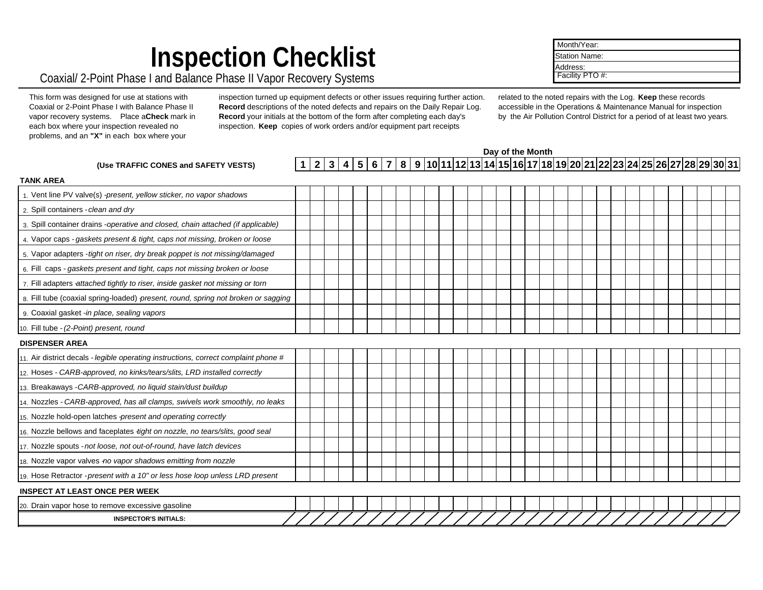# **Inspection Checklist**

### Coaxial/ 2-Point Phase I and Balance Phase II Vapor Recovery Systems

| This form was designed for use at stations with  |  |  |  |  |  |  |  |  |  |  |  |  |
|--------------------------------------------------|--|--|--|--|--|--|--|--|--|--|--|--|
| Coaxial or 2-Point Phase I with Balance Phase II |  |  |  |  |  |  |  |  |  |  |  |  |
| vapor recovery systems. Place aCheck mark in     |  |  |  |  |  |  |  |  |  |  |  |  |
| each box where your inspection revealed no       |  |  |  |  |  |  |  |  |  |  |  |  |
| problems, and an "X" in each box where your      |  |  |  |  |  |  |  |  |  |  |  |  |

inspection turned up equipment defects or other issues requiring further action. **Record** descriptions of the noted defects and repairs on the Daily Repair Log. **Record** your initials at the bottom of the form after completing each day's inspection. **Keep** copies of work orders and/or equipment part receipts

related to the noted repairs with the Log. **Keep** these records accessible in the Operations & Maintenance Manual for inspection by the Air Pollution Control District for a period of at least two years.

**Day of the Month**

| (Use TRAFFIC CONES and SAFETY VESTS)                                                 |  |  |  |  |  |  |  |  |  |  |  |  |  |  |  |  |  |  |  |  | $1 2 3 4 5 6 7 8 9 10 11 12 13 14 15 16 17 18 19 20 21 22 23 24 25 26 27 28 29 30 31 $ |  |
|--------------------------------------------------------------------------------------|--|--|--|--|--|--|--|--|--|--|--|--|--|--|--|--|--|--|--|--|----------------------------------------------------------------------------------------|--|
| <b>TANK AREA</b>                                                                     |  |  |  |  |  |  |  |  |  |  |  |  |  |  |  |  |  |  |  |  |                                                                                        |  |
| 1. Vent line PV valve(s) -present, yellow sticker, no vapor shadows                  |  |  |  |  |  |  |  |  |  |  |  |  |  |  |  |  |  |  |  |  |                                                                                        |  |
| 2. Spill containers - clean and dry                                                  |  |  |  |  |  |  |  |  |  |  |  |  |  |  |  |  |  |  |  |  |                                                                                        |  |
| 3. Spill container drains -operative and closed, chain attached (if applicable)      |  |  |  |  |  |  |  |  |  |  |  |  |  |  |  |  |  |  |  |  |                                                                                        |  |
| 4. Vapor caps - gaskets present & tight, caps not missing, broken or loose           |  |  |  |  |  |  |  |  |  |  |  |  |  |  |  |  |  |  |  |  |                                                                                        |  |
| 5. Vapor adapters - tight on riser, dry break poppet is not missing/damaged          |  |  |  |  |  |  |  |  |  |  |  |  |  |  |  |  |  |  |  |  |                                                                                        |  |
| $6.$ Fill caps - gaskets present and tight, caps not missing broken or loose         |  |  |  |  |  |  |  |  |  |  |  |  |  |  |  |  |  |  |  |  |                                                                                        |  |
| 7. Fill adapters attached tightly to riser, inside gasket not missing or torn        |  |  |  |  |  |  |  |  |  |  |  |  |  |  |  |  |  |  |  |  |                                                                                        |  |
| 8. Fill tube (coaxial spring-loaded) present, round, spring not broken or sagging    |  |  |  |  |  |  |  |  |  |  |  |  |  |  |  |  |  |  |  |  |                                                                                        |  |
| 9. Coaxial gasket -in place, sealing vapors                                          |  |  |  |  |  |  |  |  |  |  |  |  |  |  |  |  |  |  |  |  |                                                                                        |  |
| 10. Fill tube - (2-Point) present, round                                             |  |  |  |  |  |  |  |  |  |  |  |  |  |  |  |  |  |  |  |  |                                                                                        |  |
| <b>DISPENSER AREA</b>                                                                |  |  |  |  |  |  |  |  |  |  |  |  |  |  |  |  |  |  |  |  |                                                                                        |  |
| 11. Air district decals - legible operating instructions, correct complaint phone #  |  |  |  |  |  |  |  |  |  |  |  |  |  |  |  |  |  |  |  |  |                                                                                        |  |
| 12. Hoses - CARB-approved, no kinks/tears/slits, LRD installed correctly             |  |  |  |  |  |  |  |  |  |  |  |  |  |  |  |  |  |  |  |  |                                                                                        |  |
| 13. Breakaways - CARB-approved, no liquid stain/dust buildup                         |  |  |  |  |  |  |  |  |  |  |  |  |  |  |  |  |  |  |  |  |                                                                                        |  |
| 14. Nozzles - CARB-approved, has all clamps, swivels work smoothly, no leaks         |  |  |  |  |  |  |  |  |  |  |  |  |  |  |  |  |  |  |  |  |                                                                                        |  |
| 15. Nozzle hold-open latches -present and operating correctly                        |  |  |  |  |  |  |  |  |  |  |  |  |  |  |  |  |  |  |  |  |                                                                                        |  |
| 16. Nozzle bellows and faceplates <i>-tight on nozzle, no tears/slits, good seal</i> |  |  |  |  |  |  |  |  |  |  |  |  |  |  |  |  |  |  |  |  |                                                                                        |  |
| 17. Nozzle spouts - not loose, not out-of-round, have latch devices                  |  |  |  |  |  |  |  |  |  |  |  |  |  |  |  |  |  |  |  |  |                                                                                        |  |
| 18. Nozzle vapor valves -no vapor shadows emitting from nozzle                       |  |  |  |  |  |  |  |  |  |  |  |  |  |  |  |  |  |  |  |  |                                                                                        |  |
| 19. Hose Retractor - present with a 10" or less hose loop unless LRD present         |  |  |  |  |  |  |  |  |  |  |  |  |  |  |  |  |  |  |  |  |                                                                                        |  |
| <b>INSPECT AT LEAST ONCE PER WEEK</b>                                                |  |  |  |  |  |  |  |  |  |  |  |  |  |  |  |  |  |  |  |  |                                                                                        |  |
| 20. Drain vapor hose to remove excessive gasoline                                    |  |  |  |  |  |  |  |  |  |  |  |  |  |  |  |  |  |  |  |  |                                                                                        |  |
| <b>INSPECTOR'S INITIALS:</b>                                                         |  |  |  |  |  |  |  |  |  |  |  |  |  |  |  |  |  |  |  |  |                                                                                        |  |

 Month/Year: Station Name: Address: Facility PTO #: